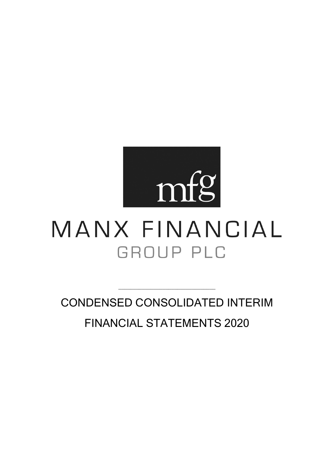

# MANX FINANCIAL GROUP PLC

CONDENSED CONSOLIDATED INTERIM FINANCIAL STATEMENTS 2020

\_\_\_\_\_\_\_\_\_\_\_\_\_\_\_\_\_\_\_\_\_\_\_\_\_\_\_\_\_\_\_\_\_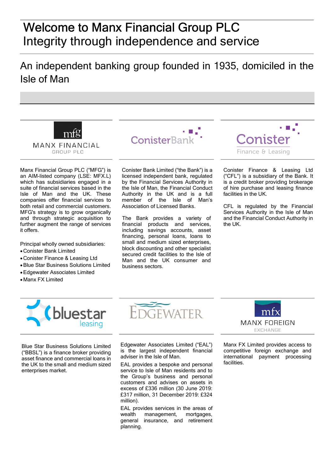# Welcome to Manx Financial Group PLC Integrity through independence and service

# An independent banking group founded in 1935, domiciled in the Isle of Man



Manx Financial Group PLC ("MFG") is an AIM-listed company (LSE: MFX.L) which has subsidiaries engaged in a suite of financial services based in the Isle of Man and the UK. These companies offer financial services to both retail and commercial customers. MFG's strategy is to grow organically and through strategic acquisition to further augment the range of services it offers.

Principal wholly owned subsidiaries:

- Conister Bank Limited
- Conister Finance & Leasing Ltd
- Blue Star Business Solutions Limited
- Edgewater Associates Limited
- Manx FX Limited



Conister Bank Limited ("the Bank") is a licensed independent bank, regulated by the Financial Services Authority in the Isle of Man, the Financial Conduct Authority in the UK and is a full member of the Isle of Man's Association of Licensed Banks.

The Bank provides a variety of financial products and services, including savings accounts, asset financing, personal loans, loans to small and medium sized enterprises, block discounting and other specialist secured credit facilities to the Isle of Man and the UK consumer and business sectors.



Conister Finance & Leasing Ltd ("CFL") is a subsidiary of the Bank. It is a credit broker providing brokerage of hire purchase and leasing finance facilities in the UK.

CFL is regulated by the Financial Services Authority in the Isle of Man and the Financial Conduct Authority in the UK.



Blue Star Business Solutions Limited ("BBSL") is a finance broker providing asset finance and commercial loans in the UK to the small and medium sized enterprises market.

Edgewater Associates Limited ("EAL") is the largest independent financial adviser in the Isle of Man.

EAL provides a bespoke and personal service to Isle of Man residents and to the Group's business and personal customers and advises on assets in excess of £336 million (30 June 2019: £317 million, 31 December 2019: £324 million).

EAL provides services in the areas of wealth management, mortgages, general insurance, and retirement planning.



Manx FX Limited provides access to competitive foreign exchange and international payment processing facilities.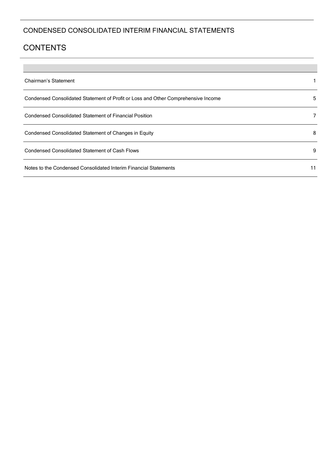# **CONTENTS**

**Contract Contract** 

| Chairman's Statement                                                              |    |
|-----------------------------------------------------------------------------------|----|
| Condensed Consolidated Statement of Profit or Loss and Other Comprehensive Income | 5  |
| Condensed Consolidated Statement of Financial Position                            |    |
| Condensed Consolidated Statement of Changes in Equity                             | 8  |
| Condensed Consolidated Statement of Cash Flows                                    | 9  |
| Notes to the Condensed Consolidated Interim Financial Statements                  | 11 |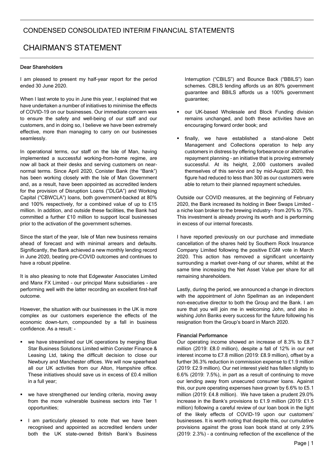# CHAIRMAN'S STATEMENT

#### Dear Shareholders

I am pleased to present my half-year report for the period ended 30 June 2020.

When I last wrote to you in June this year, I explained that we have undertaken a number of initiatives to minimise the effects of COVID-19 on our businesses. Our immediate concern was to ensure the safety and well-being of our staff and our customers, and in doing so, I believe we have been extremely effective, more than managing to carry on our businesses seamlessly.

In operational terms, our staff on the Isle of Man, having implemented a successful working-from-home regime, are now all back at their desks and serving customers on nearnormal terms. Since April 2020, Conister Bank (the "Bank") has been working closely with the Isle of Man Government and, as a result, have been appointed as accredited lenders for the provision of Disruption Loans ("DLGA") and Working Capital ("CBWCLA") loans, both government-backed at 80% and 100% respectively, for a combined value of up to £15 million. In addition, and outside these facilities, the Bank had committed a further £10 million to support local businesses prior to the activation of the government schemes.

Since the start of the year, Isle of Man new business remains ahead of forecast and with minimal arrears and defaults. Significantly, the Bank achieved a new monthly lending record in June 2020, beating pre-COVID outcomes and continues to have a robust pipeline.

It is also pleasing to note that Edgewater Associates Limited and Manx FX Limited - our principal Manx subsidiaries - are performing well with the latter recording an excellent first-half outcome.

However, the situation with our businesses in the UK is more complex as our customers experience the effects of the economic down-turn, compounded by a fall in business confidence. As a result: -

- we have streamlined our UK operations by merging Blue Star Business Solutions Limited within Conister Finance & Leasing Ltd, taking the difficult decision to close our Newbury and Manchester offices. We will now spearhead all our UK activities from our Alton, Hampshire office. These initiatives should save us in excess of £0.4 million in a full year;
- we have strengthened our lending criteria, moving away from the more vulnerable business sectors into Tier 1 opportunities;
- I am particularly pleased to note that we have been recognised and appointed as accredited lenders under both the UK state-owned British Bank's Business

Interruption ("CBILS") and Bounce Back ("BBILS") loan schemes. CBILS lending affords us an 80% government guarantee and BBILS affords us a 100% government guarantee;

- our UK-based Wholesale and Block Funding division remains unchanged, and both these activities have an encouraging forward order book; and
- finally, we have established a stand-alone Debt Management and Collections operation to help any customers in distress by offering forbearance or alternative repayment planning – an initiative that is proving extremely successful. At its height, 2,000 customers availed themselves of this service and by mid-August 2020, this figure had reduced to less than 300 as our customers were able to return to their planned repayment schedules.

Outside our COVID measures, at the beginning of February 2020, the Bank increased its holding in Beer Swaps Limited – a niche loan broker to the brewing industry – from 20% to 75%. This investment is already proving its worth and is performing in excess of our internal forecasts.

I have reported previously on our purchase and immediate cancellation of the shares held by Southern Rock Insurance Company Limited following the positive EGM vote in March 2020. This action has removed a significant uncertainty surrounding a market over-hang of our shares, whilst at the same time increasing the Net Asset Value per share for all remaining shareholders.

Lastly, during the period, we announced a change in directors with the appointment of John Spellman as an independent non-executive director to both the Group and the Bank. I am sure that you will join me in welcoming John, and also in wishing John Banks every success for the future following his resignation from the Group's board in March 2020.

#### Financial Performance

Our operating income showed an increase of 8.3% to £8.7 million (2019: £8.0 million), despite a fall of 12% in our net interest income to £7.8 million (2019: £8.9 million), offset by a further 36.3% reduction in commission expense to £1.9 million (2019: £2.9 million). Our net interest yield has fallen slightly to 6.6% (2019: 7.5%), in part as a result of continuing to move our lending away from unsecured consumer loans. Against this, our pure operating expenses have grown by 6.6% to £5.1 million (2019: £4.8 million). We have taken a prudent 29.0% increase in the Bank's provisions to £1.9 million (2019: £1.5 million) following a careful review of our loan book in the light of the likely effects of COVID-19 upon our customers' businesses. It is worth noting that despite this, our cumulative provisions against the gross loan book stand at only 2.9% (2019: 2.3%) – a continuing reflection of the excellence of the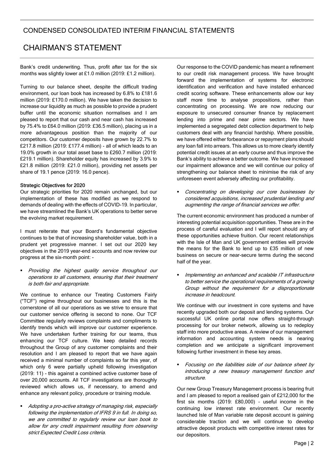# CHAIRMAN'S STATEMENT

Bank's credit underwriting. Thus, profit after tax for the six months was slightly lower at £1.0 million (2019: £1.2 million).

Turning to our balance sheet, despite the difficult trading environment, our loan book has increased by 6.8% to £181.6 million (2019: £170.0 million). We have taken the decision to increase our liquidity as much as possible to provide a prudent buffer until the economic situation normalises and I am pleased to report that our cash and near cash has increased by 75.4% to £64.0 million (2019: £36.5 million), placing us in a more advantageous position than the majority of our competitors. Our customer deposits have grown by 22.7% to £217.8 million (2019: £177.4 million) - all of which leads to an 19.0% growth in our total asset base to £260.7 million (2019: £219.1 million). Shareholder equity has increased by 3.9% to £21.8 million (2019: £21.0 million), providing net assets per share of 19.1 pence (2019: 16.0 pence).

#### Strategic Objectives for 2020

Our strategic priorities for 2020 remain unchanged, but our implementation of these has modified as we respond to demands of dealing with the effects of COVID-19. In particular, we have streamlined the Bank's UK operations to better serve the evolving market requirement.

I must reiterate that your Board's fundamental objective continues to be that of increasing shareholder value, both in a prudent yet progressive manner. I set out our 2020 key objectives in the 2019 year-end accounts and now review our progress at the six-month point: -

 Providing the highest quality service throughout our operations to all customers, ensuring that their treatment is both fair and appropriate.

We continue to enhance our Treating Customers Fairly ("TCF") regime throughout our businesses and this is the cornerstone of all our operations as we strive to ensure that our customer service offering is second to none. Our TCF Committee regularly reviews complaints and compliments to identify trends which will improve our customer experience. We have undertaken further training for our teams, thus enhancing our TCF culture. We keep detailed records throughout the Group of any customer complaints and their resolution and I am pleased to report that we have again received a minimal number of complaints so far this year, of which only 6 were partially upheld following investigation (2019: 11) - this against a combined active customer base of over 20,000 accounts. All TCF investigations are thoroughly reviewed which allows us, if necessary, to amend and enhance any relevant policy, procedure or training module.

• Adopting a pro-active strategy of managing risk, especially following the implementation of IFRS 9 in full. In doing so, we are committed to regularly review our loan book to allow for any credit impairment resulting from observing strict Expected Credit Loss criteria.

Our response to the COVID pandemic has meant a refinement to our credit risk management process. We have brought forward the implementation of systems for electronic identification and verification and have installed enhanced credit scoring software. These enhancements allow our key staff more time to analyse propositions, rather than concentrating on processing. We are now reducing our exposure to unsecured consumer finance by replacement lending into prime and near prime sectors. We have implemented a segregated debt collection department to help customers deal with any financial hardship. Where possible, we have offered either forbearance or repayment plans should any loan fall into arrears. This allows us to more clearly identify potential credit issues at an early course and thus improve the Bank's ability to achieve a better outcome. We have increased our impairment allowance and we will continue our policy of strengthening our balance sheet to minimise the risk of any unforeseen event adversely affecting our profitability.

 Concentrating on developing our core businesses by considered acquisitions, increased prudential lending and augmenting the range of financial services we offer.

The current economic environment has produced a number of interesting potential acquisition opportunities. These are in the process of careful evaluation and I will report should any of these opportunities achieve fruition. Our recent relationships with the Isle of Man and UK government entities will provide the means for the Bank to lend up to £35 million of new business on secure or near-secure terms during the second half of the year.

 Implementing an enhanced and scalable IT infrastructure to better service the operational requirements of a growing Group without the requirement for a disproportionate increase in headcount.

We continue with our investment in core systems and have recently upgraded both our deposit and lending systems. Our successful UK online portal now offers straight-through processing for our broker network, allowing us to redeploy staff into more productive areas. A review of our management information and accounting system needs is nearing completion and we anticipate a significant improvement following further investment in these key areas.

 Focusing on the liabilities side of our balance sheet by introducing a new treasury management function and structure.

Our new Group Treasury Management process is bearing fruit and I am pleased to report a realised gain of £212,000 for the first six months (2019: £80,000) – useful income in the continuing low interest rate environment. Our recently launched Isle of Man variable rate deposit account is gaining considerable traction and we will continue to develop attractive deposit products with competitive interest rates for our depositors.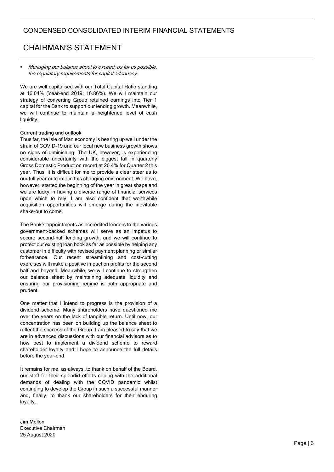# CHAIRMAN'S STATEMENT

 Managing our balance sheet to exceed, as far as possible, the regulatory requirements for capital adequacy.

We are well capitalised with our Total Capital Ratio standing at 16.04% (Year-end 2019: 16.86%). We will maintain our strategy of converting Group retained earnings into Tier 1 capital for the Bank to support our lending growth. Meanwhile, we will continue to maintain a heightened level of cash liquidity.

#### Current trading and outlook

Thus far, the Isle of Man economy is bearing up well under the strain of COVID-19 and our local new business growth shows no signs of diminishing. The UK, however, is experiencing considerable uncertainty with the biggest fall in quarterly Gross Domestic Product on record at 20.4% for Quarter 2 this year. Thus, it is difficult for me to provide a clear steer as to our full year outcome in this changing environment. We have, however, started the beginning of the year in great shape and we are lucky in having a diverse range of financial services upon which to rely. I am also confident that worthwhile acquisition opportunities will emerge during the inevitable shake-out to come.

The Bank's appointments as accredited lenders to the various government-backed schemes will serve as an impetus to secure second-half lending growth, and we will continue to protect our existing loan book as far as possible by helping any customer in difficulty with revised payment planning or similar forbearance. Our recent streamlining and cost-cutting exercises will make a positive impact on profits for the second half and beyond. Meanwhile, we will continue to strengthen our balance sheet by maintaining adequate liquidity and ensuring our provisioning regime is both appropriate and prudent.

One matter that I intend to progress is the provision of a dividend scheme. Many shareholders have questioned me over the years on the lack of tangible return. Until now, our concentration has been on building up the balance sheet to reflect the success of the Group. I am pleased to say that we are in advanced discussions with our financial advisors as to how best to implement a dividend scheme to reward shareholder loyalty and I hope to announce the full details before the year-end.

It remains for me, as always, to thank on behalf of the Board, our staff for their splendid efforts coping with the additional demands of dealing with the COVID pandemic whilst continuing to develop the Group in such a successful manner and, finally, to thank our shareholders for their enduring loyalty.

#### Jim Mellon

Executive Chairman 25 August 2020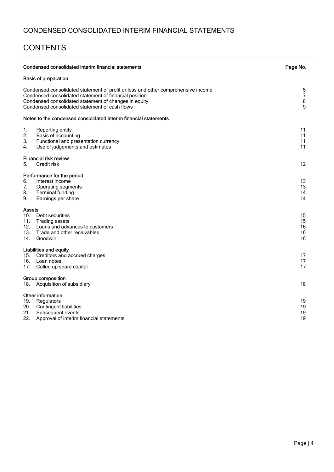# **CONTENTS**

|                                           | Condensed consolidated interim financial statements                                                                                                                                                                                                    | Page No.                      |
|-------------------------------------------|--------------------------------------------------------------------------------------------------------------------------------------------------------------------------------------------------------------------------------------------------------|-------------------------------|
|                                           | <b>Basis of preparation</b>                                                                                                                                                                                                                            |                               |
|                                           | Condensed consolidated statement of profit or loss and other comprehensive income<br>Condensed consolidated statement of financial position<br>Condensed consolidated statement of changes in equity<br>Condensed consolidated statement of cash flows | 5<br>$\overline{7}$<br>8<br>9 |
|                                           | Notes to the condensed consolidated interim financial statements                                                                                                                                                                                       |                               |
| 1.<br>2.<br>3.<br>4.                      | Reporting entity<br>Basis of accounting<br>Functional and presentation currency<br>Use of judgements and estimates                                                                                                                                     | 11<br>11<br>11<br>11          |
| 5.                                        | <b>Financial risk review</b><br>Credit risk                                                                                                                                                                                                            | 12                            |
| 6.<br>7.<br>8.<br>9.                      | Performance for the period<br>Interest income<br>Operating segments<br><b>Terminal funding</b><br>Earnings per share                                                                                                                                   | 13<br>13<br>14<br>14          |
| <b>Assets</b><br>11.<br>12.<br>13.<br>14. | 10. Debt securities<br>Trading assets<br>Loans and advances to customers<br>Trade and other receivables<br>Goodwill                                                                                                                                    | 15<br>15<br>16<br>16<br>16    |
| 16.<br>17.                                | <b>Liabilities and equity</b><br>15. Creditors and accrued charges<br>Loan notes<br>Called up share capital                                                                                                                                            | 17<br>17<br>17                |
| 18.                                       | Group composition<br>Acquisition of subsidiary                                                                                                                                                                                                         | 18                            |
| 19.<br>21.<br>22.                         | Other information<br>Regulators<br>20. Contingent liabilities<br>Subsequent events<br>Approval of interim financial statements                                                                                                                         | 19<br>19<br>19<br>19          |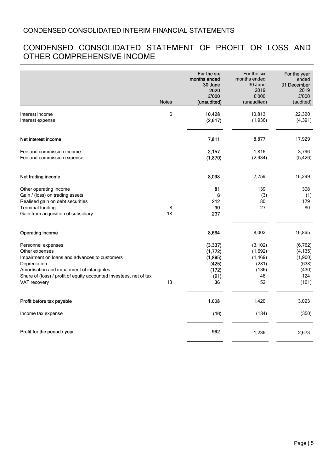# CONDENSED CONSOLIDATED STATEMENT OF PROFIT OR LOSS AND OTHER COMPREHENSIVE INCOME

|                                                                                                                                                                                                                                           | <b>Notes</b> | For the six<br>months ended<br>30 June<br>2020<br>£'000         | For the six<br>months ended<br>30 June<br>2019<br>£'000<br>(unaudited) | For the year<br>ended<br>31 December<br>2019<br>£'000             |
|-------------------------------------------------------------------------------------------------------------------------------------------------------------------------------------------------------------------------------------------|--------------|-----------------------------------------------------------------|------------------------------------------------------------------------|-------------------------------------------------------------------|
|                                                                                                                                                                                                                                           |              | (unaudited)                                                     |                                                                        | (audited)                                                         |
| Interest income<br>Interest expense                                                                                                                                                                                                       | 6            | 10,428<br>(2,617)                                               | 10,813<br>(1,936)                                                      | 22,320<br>(4, 391)                                                |
| Net interest income                                                                                                                                                                                                                       |              | 7,811                                                           | 8,877                                                                  | 17,929                                                            |
| Fee and commission income<br>Fee and commission expense                                                                                                                                                                                   |              | 2,157<br>(1, 870)                                               | 1,816<br>(2,934)                                                       | 3,796<br>(5, 426)                                                 |
| Net trading income                                                                                                                                                                                                                        |              | 8,098                                                           | 7,759                                                                  | 16,299                                                            |
| Other operating income<br>Gain / (loss) on trading assets<br>Realised gain on debt securities<br><b>Terminal funding</b><br>Gain from acquisition of subsidiary                                                                           | 8<br>18      | 81<br>6<br>212<br>30<br>237                                     | 139<br>(3)<br>80<br>27                                                 | 308<br>(1)<br>179<br>80                                           |
| <b>Operating income</b>                                                                                                                                                                                                                   |              | 8,664                                                           | 8,002                                                                  | 16,865                                                            |
| Personnel expenses<br>Other expenses<br>Impairment on loans and advances to customers<br>Depreciation<br>Amortisation and impairment of intangibles<br>Share of (loss) / profit of equity accounted investees, net of tax<br>VAT recovery | 13           | (3, 337)<br>(1,772)<br>(1, 895)<br>(425)<br>(172)<br>(91)<br>36 | (3, 102)<br>(1,692)<br>(1, 469)<br>(281)<br>(136)<br>46<br>52          | (6, 762)<br>(4, 135)<br>(1,900)<br>(638)<br>(430)<br>124<br>(101) |
| Profit before tax payable                                                                                                                                                                                                                 |              | 1,008                                                           | 1,420                                                                  | 3,023                                                             |
| Income tax expense                                                                                                                                                                                                                        |              | (16)                                                            | (184)                                                                  | (350)                                                             |
| Profit for the period / year                                                                                                                                                                                                              |              | 992                                                             | 1,236                                                                  | 2,673                                                             |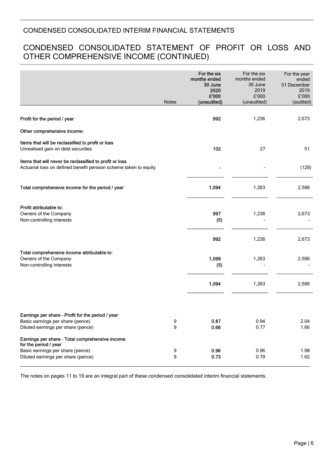# CONDENSED CONSOLIDATED STATEMENT OF PROFIT OR LOSS AND OTHER COMPREHENSIVE INCOME (CONTINUED)

|                                                                                                                             | Notes                 | For the six<br>months ended<br>30 June<br>2020<br>£'000<br>(unaudited) | For the six<br>months ended<br>30 June<br>2019<br>£'000<br>(unaudited) | For the year<br>ended<br>31 December<br>2019<br>£'000<br>(audited) |
|-----------------------------------------------------------------------------------------------------------------------------|-----------------------|------------------------------------------------------------------------|------------------------------------------------------------------------|--------------------------------------------------------------------|
| Profit for the period / year                                                                                                |                       | 992                                                                    | 1,236                                                                  | 2,673                                                              |
| Other comprehensive income:                                                                                                 |                       |                                                                        |                                                                        |                                                                    |
| Items that will be reclassified to profit or loss<br>Unrealised gain on debt securities                                     |                       | 102                                                                    | 27                                                                     | 51                                                                 |
| Items that will never be reclassified to profit or loss<br>Actuarial loss on defined benefit pension scheme taken to equity |                       |                                                                        |                                                                        | (128)                                                              |
| Total comprehensive income for the period / year                                                                            |                       | 1,094                                                                  | 1,263                                                                  | 2,596                                                              |
| Profit attributable to:<br>Owners of the Company<br>Non-controlling interests                                               |                       | 997<br>(5)                                                             | 1,236                                                                  | 2,673                                                              |
|                                                                                                                             |                       | 992                                                                    | 1,236                                                                  | 2,673                                                              |
| Total comprehensive income attributable to:<br>Owners of the Company<br>Non-controlling interests                           |                       | 1,099<br>(5)                                                           | 1,263                                                                  | 2,596                                                              |
|                                                                                                                             |                       | 1,094                                                                  | 1,263                                                                  | 2,596                                                              |
|                                                                                                                             |                       |                                                                        |                                                                        |                                                                    |
| Earnings per share - Profit for the period / year<br>Basic earnings per share (pence)<br>Diluted earnings per share (pence) | 9<br>9                | 0.87<br>0.66                                                           | 0.94<br>0.77                                                           | 2.04<br>1.66                                                       |
| Earnings per share - Total comprehensive income<br>for the period / year                                                    |                       |                                                                        |                                                                        |                                                                    |
| Basic earnings per share (pence)<br>Diluted earnings per share (pence)                                                      | 9<br>$\boldsymbol{9}$ | 0.96<br>0.73                                                           | 0.96<br>0.79                                                           | 1.98<br>1.62                                                       |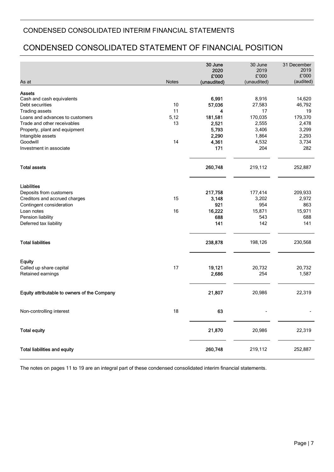# CONDENSED CONSOLIDATED STATEMENT OF FINANCIAL POSITION

|                                              |       | 30 June<br>2020<br>£'000 | 30 June<br>2019<br>£'000 | 31 December<br>2019<br>£'000<br>(audited) |
|----------------------------------------------|-------|--------------------------|--------------------------|-------------------------------------------|
| As at                                        | Notes | (unaudited)              | (unaudited)              |                                           |
| <b>Assets</b>                                |       |                          |                          |                                           |
| Cash and cash equivalents                    |       | 6,991                    | 8,916                    | 14,620                                    |
| Debt securities                              | 10    | 57,036                   | 27,583                   | 46,792                                    |
| <b>Trading assets</b>                        | 11    | 4                        | 17                       | 19                                        |
| Loans and advances to customers              | 5,12  | 181,581                  | 170,035                  | 179,370                                   |
| Trade and other receivables                  | 13    | 2,521                    | 2,555                    | 2,478                                     |
| Property, plant and equipment                |       | 5,793                    | 3,406                    | 3,299                                     |
| Intangible assets                            |       | 2,290                    | 1,864                    | 2,293                                     |
| Goodwill                                     | 14    | 4,361                    | 4,532                    | 3,734                                     |
| Investment in associate                      |       | 171                      | 204                      | 282                                       |
| <b>Total assets</b>                          |       | 260,748                  | 219,112                  | 252,887                                   |
| <b>Liabilities</b>                           |       |                          |                          |                                           |
| Deposits from customers                      |       | 217,758                  | 177,414                  | 209,933                                   |
| Creditors and accrued charges                | 15    | 3,148                    | 3,202                    | 2,972                                     |
| Contingent consideration                     |       | 921                      | 954                      | 863                                       |
| Loan notes                                   | 16    | 16,222                   | 15,871                   | 15,971                                    |
| Pension liability                            |       | 688                      | 543                      | 688                                       |
| Deferred tax liability                       |       | 141                      | 142                      | 141                                       |
| <b>Total liabilities</b>                     |       | 238,878                  | 198,126                  | 230,568                                   |
| <b>Equity</b>                                |       |                          |                          |                                           |
| Called up share capital                      | 17    | 19,121                   | 20,732                   | 20,732                                    |
| Retained earnings                            |       | 2,686                    | 254                      | 1,587                                     |
|                                              |       |                          |                          |                                           |
| Equity attributable to owners of the Company |       | 21,807                   | 20,986                   | 22,319                                    |
| Non-controlling interest                     | 18    | 63                       |                          |                                           |
| <b>Total equity</b>                          |       | 21,870                   | 20,986                   | 22,319                                    |
| <b>Total liabilities and equity</b>          |       | 260,748                  | 219,112                  | 252,887                                   |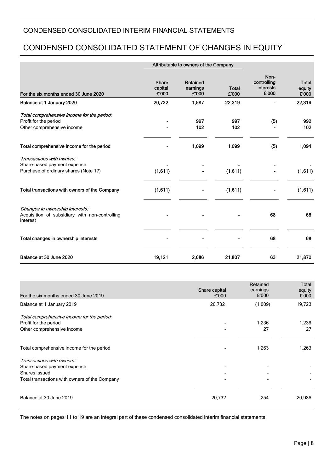# CONDENSED CONSOLIDATED STATEMENT OF CHANGES IN EQUITY

|                                                                                                   | Attributable to owners of the Company |                               |                       |                                           |                                 |
|---------------------------------------------------------------------------------------------------|---------------------------------------|-------------------------------|-----------------------|-------------------------------------------|---------------------------------|
| For the six months ended 30 June 2020                                                             | <b>Share</b><br>capital<br>£'000      | Retained<br>earnings<br>£'000 | <b>Total</b><br>£'000 | Non-<br>controlling<br>interests<br>£'000 | <b>Total</b><br>equity<br>£'000 |
| Balance at 1 January 2020                                                                         | 20,732                                | 1,587                         | 22,319                |                                           | 22,319                          |
| Total comprehensive income for the period:<br>Profit for the period<br>Other comprehensive income |                                       | 997<br>102                    | 997<br>102            | (5)                                       | 992<br>102                      |
| Total comprehensive income for the period                                                         |                                       | 1,099                         | 1,099                 | (5)                                       | 1,094                           |
| Transactions with owners:<br>Share-based payment expense<br>Purchase of ordinary shares (Note 17) | (1,611)                               |                               | (1,611)               |                                           | (1,611)                         |
| Total transactions with owners of the Company                                                     | (1,611)                               |                               | (1,611)               |                                           | (1,611)                         |
| Changes in ownership interests:<br>Acquisition of subsidiary with non-controlling<br>interest     |                                       |                               |                       | 68                                        | 68                              |
| Total changes in ownership interests                                                              |                                       |                               |                       | 68                                        | 68                              |
| Balance at 30 June 2020                                                                           | 19,121                                | 2,686                         | 21,807                | 63                                        | 21,870                          |

| For the six months ended 30 June 2019                                                                                      | Share capital<br>£'000 | Retained<br>earnings<br>£'000 | Total<br>equity<br>£'000 |
|----------------------------------------------------------------------------------------------------------------------------|------------------------|-------------------------------|--------------------------|
| Balance at 1 January 2019                                                                                                  | 20,732                 | (1,009)                       | 19,723                   |
| Total comprehensive income for the period:<br>Profit for the period<br>Other comprehensive income                          |                        | 1,236<br>27                   | 1,236<br>27              |
| Total comprehensive income for the period                                                                                  |                        | 1,263                         | 1,263                    |
| Transactions with owners:<br>Share-based payment expense<br>Shares issued<br>Total transactions with owners of the Company |                        |                               |                          |
| Balance at 30 June 2019                                                                                                    | 20,732                 | 254                           | 20,986                   |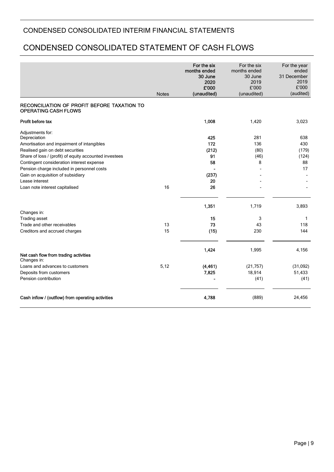# CONDENSED CONSOLIDATED STATEMENT OF CASH FLOWS

|                                                                                                                                                                                                                                                                         | <b>Notes</b> | For the six<br>months ended<br>30 June<br>2020<br>£'000<br>(unaudited) | For the six<br>months ended<br>30 June<br>2019<br>£'000<br>(unaudited) | For the year<br>ended<br>31 December<br>2019<br>£'000<br>(audited) |
|-------------------------------------------------------------------------------------------------------------------------------------------------------------------------------------------------------------------------------------------------------------------------|--------------|------------------------------------------------------------------------|------------------------------------------------------------------------|--------------------------------------------------------------------|
| RECONCILIATION OF PROFIT BEFORE TAXATION TO<br><b>OPERATING CASH FLOWS</b>                                                                                                                                                                                              |              |                                                                        |                                                                        |                                                                    |
| Profit before tax                                                                                                                                                                                                                                                       |              | 1,008                                                                  | 1,420                                                                  | 3,023                                                              |
| Adjustments for:<br>Depreciation<br>Amortisation and impairment of intangibles<br>Realised gain on debt securities<br>Share of loss / (profit) of equity accounted investees<br>Contingent consideration interest expense<br>Pension charge included in personnel costs |              | 425<br>172<br>(212)<br>91<br>58                                        | 281<br>136<br>(80)<br>(46)<br>8                                        | 638<br>430<br>(179)<br>(124)<br>88<br>17                           |
| Gain on acquisition of subsidiary<br>Lease interest                                                                                                                                                                                                                     |              | (237)<br>20                                                            |                                                                        |                                                                    |
| Loan note interest capitalised                                                                                                                                                                                                                                          | 16           | 26                                                                     |                                                                        |                                                                    |
|                                                                                                                                                                                                                                                                         |              | 1,351                                                                  | 1,719                                                                  | 3,893                                                              |
| Changes in:<br><b>Trading asset</b>                                                                                                                                                                                                                                     |              | 15                                                                     | 3                                                                      | 1                                                                  |
| Trade and other receivables                                                                                                                                                                                                                                             | 13           | 73                                                                     | 43                                                                     | 118                                                                |
| Creditors and accrued charges                                                                                                                                                                                                                                           | 15           | (15)                                                                   | 230                                                                    | 144                                                                |
| Net cash flow from trading activities<br>Changes in:                                                                                                                                                                                                                    |              | 1,424                                                                  | 1,995                                                                  | 4,156                                                              |
| Loans and advances to customers                                                                                                                                                                                                                                         | 5,12         | (4, 461)                                                               | (21, 757)                                                              | (31,092)                                                           |
| Deposits from customers                                                                                                                                                                                                                                                 |              | 7,825                                                                  | 18,914                                                                 | 51,433                                                             |
| Pension contribution                                                                                                                                                                                                                                                    |              |                                                                        | (41)                                                                   | (41)                                                               |
| Cash inflow / (outflow) from operating activities                                                                                                                                                                                                                       |              | 4,788                                                                  | (889)                                                                  | 24,456                                                             |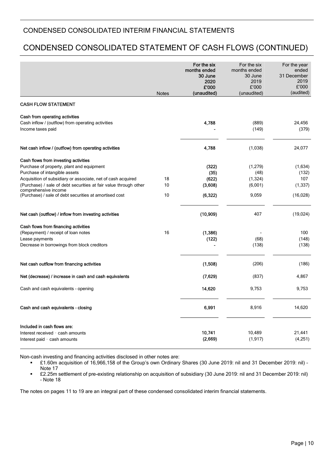# CONDENSED CONSOLIDATED STATEMENT OF CASH FLOWS (CONTINUED)

|                                                                                                          |              | For the six<br>months ended<br>30 June<br>2020<br>£'000 | For the six<br>months ended<br>30 June<br>2019<br>£'000 | For the year<br>ended<br>31 December<br>2019<br>£'000 |
|----------------------------------------------------------------------------------------------------------|--------------|---------------------------------------------------------|---------------------------------------------------------|-------------------------------------------------------|
|                                                                                                          | <b>Notes</b> | (unaudited)                                             | (unaudited)                                             | (audited)                                             |
| <b>CASH FLOW STATEMENT</b>                                                                               |              |                                                         |                                                         |                                                       |
| Cash from operating activities<br>Cash inflow / (outflow) from operating activities<br>Income taxes paid |              | 4,788                                                   | (889)<br>(149)                                          | 24,456<br>(379)                                       |
| Net cash inflow / (outflow) from operating activities                                                    |              | 4,788                                                   | (1,038)                                                 | 24,077                                                |
| Cash flows from investing activities                                                                     |              |                                                         |                                                         |                                                       |
| Purchase of property, plant and equipment                                                                |              | (322)                                                   | (1,279)                                                 | (1,634)                                               |
| Purchase of intangible assets                                                                            |              | (35)                                                    | (48)                                                    | (132)                                                 |
| Acquisition of subsidiary or associate, net of cash acquired                                             | 18           | (622)                                                   | (1, 324)                                                | 107                                                   |
| (Purchase) / sale of debt securities at fair value through other<br>comprehensive income                 | 10           | (3,608)                                                 | (6,001)                                                 | (1, 337)                                              |
| (Purchase) / sale of debt securities at amortised cost                                                   | 10           | (6, 322)                                                | 9,059                                                   | (16, 028)                                             |
| Net cash (outflow) / inflow from investing activities                                                    |              | (10, 909)                                               | 407                                                     | (19,024)                                              |
| Cash flows from financing activities                                                                     |              |                                                         |                                                         |                                                       |
| (Repayment) / receipt of loan notes                                                                      | 16           | (1,386)                                                 |                                                         | 100                                                   |
| Lease payments                                                                                           |              | (122)                                                   | (68)                                                    | (148)                                                 |
| Decrease in borrowings from block creditors                                                              |              |                                                         | (138)                                                   | (138)                                                 |
| Net cash outflow from financing activities                                                               |              | (1,508)                                                 | (206)                                                   | (186)                                                 |
|                                                                                                          |              |                                                         |                                                         |                                                       |
| Net (decrease) / increase in cash and cash equivalents                                                   |              | (7,629)                                                 | (837)                                                   | 4,867                                                 |
| Cash and cash equivalents - opening                                                                      |              | 14,620                                                  | 9,753                                                   | 9,753                                                 |
| Cash and cash equivalents - closing                                                                      |              | 6,991                                                   | 8,916                                                   | 14,620                                                |
| Included in cash flows are:                                                                              |              |                                                         |                                                         |                                                       |
| Interest received - cash amounts                                                                         |              | 10,741                                                  | 10,489                                                  | 21,441                                                |
| Interest paid - cash amounts                                                                             |              | (2,669)                                                 | (1, 917)                                                | (4,251)                                               |

Non-cash investing and financing activities disclosed in other notes are:

 £1.60m acquisition of 16,966,158 of the Group's own Ordinary Shares (30 June 2019: nil and 31 December 2019: nil) – Note 17

 £2.25m settlement of pre-existing relationship on acquisition of subsidiary (30 June 2019: nil and 31 December 2019: nil) – Note 18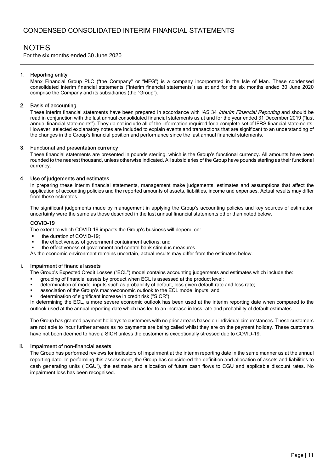# **NOTES**

For the six months ended 30 June 2020

#### 1. Reporting entity

Manx Financial Group PLC ("the Company" or "MFG") is a company incorporated in the Isle of Man. These condensed consolidated interim financial statements ("interim financial statements") as at and for the six months ended 30 June 2020 comprise the Company and its subsidiaries (the "Group").

#### 2. Basis of accounting

These interim financial statements have been prepared in accordance with IAS 34 Interim Financial Reporting and should be read in conjunction with the last annual consolidated financial statements as at and for the year ended 31 December 2019 ("last annual financial statements"). They do not include all of the information required for a complete set of IFRS financial statements. However, selected explanatory notes are included to explain events and transactions that are significant to an understanding of the changes in the Group's financial position and performance since the last annual financial statements.

#### 3. Functional and presentation currency

These financial statements are presented in pounds sterling, which is the Group's functional currency. All amounts have been rounded to the nearest thousand, unless otherwise indicated. All subsidiaries of the Group have pounds sterling as their functional currency.

#### 4. Use of judgements and estimates

In preparing these interim financial statements, management make judgements, estimates and assumptions that affect the application of accounting policies and the reported amounts of assets, liabilities, income and expenses. Actual results may differ from these estimates.

The significant judgements made by management in applying the Group's accounting policies and key sources of estimation uncertainty were the same as those described in the last annual financial statements other than noted below.

#### COVID-19

The extent to which COVID-19 impacts the Group's business will depend on:

- the duration of COVID-19;
- the effectiveness of government containment actions; and
- the effectiveness of government and central bank stimulus measures.
- As the economic environment remains uncertain, actual results may differ from the estimates below.

#### i. Impairment of financial assets

The Group's Expected Credit Losses ("ECL") model contains accounting judgements and estimates which include the:

- grouping of financial assets by product when ECL is assessed at the product level;
- determination of model inputs such as probability of default, loss given default rate and loss rate;
- association of the Group's macroeconomic outlook to the ECL model inputs; and
- determination of significant increase in credit risk ("SICR").

In determining the ECL, a more severe economic outlook has been used at the interim reporting date when compared to the outlook used at the annual reporting date which has led to an increase in loss rate and probability of default estimates.

The Group has granted payment holidays to customers with no prior arrears based on individual circumstances. These customers are not able to incur further arrears as no payments are being called whilst they are on the payment holiday. These customers have not been deemed to have a SICR unless the customer is exceptionally stressed due to COVID-19.

#### ii. Impairment of non-financial assets

The Group has performed reviews for indicators of impairment at the interim reporting date in the same manner as at the annual reporting date. In performing this assessment, the Group has considered the definition and allocation of assets and liabilities to cash generating units ("CGU"), the estimate and allocation of future cash flows to CGU and applicable discount rates. No impairment loss has been recognised.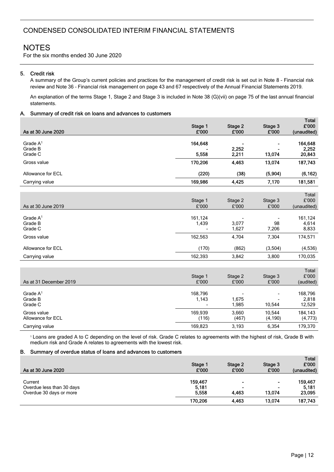For the six months ended 30 June 2020

#### 5. Credit risk

A summary of the Group's current policies and practices for the management of credit risk is set out in Note 8 – Financial risk review and Note 36 – Financial risk management on page 43 and 67 respectively of the Annual Financial Statements 2019.

An explanation of the terms Stage 1, Stage 2 and Stage 3 is included in Note 38 (G)(vii) on page 75 of the last annual financial statements.

#### A. Summary of credit risk on loans and advances to customers

| As at 30 June 2020               | Stage 1<br>£'000 | Stage 2<br>£'000 | Stage 3<br>£'000 | i vidi<br>£'000<br>(unaudited) |
|----------------------------------|------------------|------------------|------------------|--------------------------------|
| Grade $A1$<br>Grade B<br>Grade C | 164,648<br>5,558 | 2,252<br>2,211   | 13,074           | 164,648<br>2,252<br>20,843     |
| Gross value                      | 170,206          | 4,463            | 13,074           | 187,743                        |
| Allowance for ECL                | (220)            | (38)             | (5,904)          | (6, 162)                       |
| Carrying value                   | 169,986          | 4,425            | 7,170            | 181,581                        |
| As at 30 June 2019               | Stage 1<br>£'000 | Stage 2<br>£'000 | Stage 3<br>£'000 | Total<br>£'000<br>(unaudited)  |
| Grade $A1$<br>Grade B<br>Grade C | 161,124<br>1,439 | 3,077<br>1,627   | 98<br>7,206      | 161,124<br>4,614<br>8,833      |
| Gross value                      | 162,563          | 4,704            | 7,304            | 174,571                        |
| Allowance for ECL                | (170)            | (862)            | (3,504)          | (4,536)                        |
| Carrying value                   | 162,393          | 3,842            | 3,800            | 170,035                        |
| As at 31 December 2019           | Stage 1<br>£'000 | Stage 2<br>£'000 | Stage 3<br>£'000 | Total<br>£'000<br>(audited)    |
| Grade $A1$<br>Grade B<br>Grade C | 168,796<br>1,143 | 1,675<br>1,985   | 10,544           | 168,796<br>2,818<br>12,529     |
| Gross value                      | 169,939          | 3,660            | 10,544           | 184,143                        |

Carrying value 169,823 3,193 6,354 179,370 <sup>1</sup> Loans are graded A to C depending on the level of risk. Grade C relates to agreements with the highest of risk, Grade B with medium risk and Grade A relates to agreements with the lowest risk.

Allowance for ECL (116) (4,190) (4,773)

#### B. Summary of overdue status of loans and advances to customers

| As at 30 June 2020                                              | Stage 1<br>£'000          | Stage 2<br>£'000             | Stage 3<br>£'000         | <b>Total</b><br>£'000<br>(unaudited) |
|-----------------------------------------------------------------|---------------------------|------------------------------|--------------------------|--------------------------------------|
| Current<br>Overdue less than 30 days<br>Overdue 30 days or more | 159.467<br>5,181<br>5.558 | ۰<br>$\blacksquare$<br>4.463 | $\blacksquare$<br>13.074 | 159,467<br>5,181<br>23,095           |
|                                                                 | 170,206                   | 4,463                        | 13,074                   | 187.743                              |

Total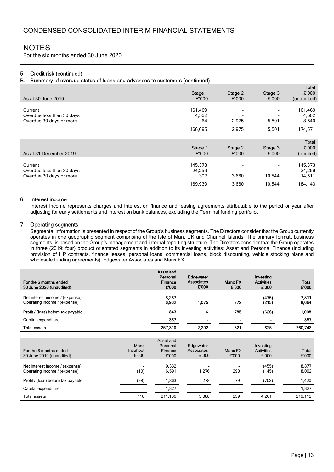For the six months ended 30 June 2020

#### 5. Credit risk (continued)

#### B. Summary of overdue status of loans and advances to customers (continued)

|                           |         |         |         | Total       |
|---------------------------|---------|---------|---------|-------------|
|                           | Stage 1 | Stage 2 | Stage 3 | £'000       |
| As at 30 June 2019        | £'000   | £'000   | £'000   | (unaudited) |
|                           |         |         |         |             |
| Current                   | 161,469 |         |         | 161,469     |
| Overdue less than 30 days | 4,562   |         |         | 4,562       |
| Overdue 30 days or more   | 64      | 2,975   | 5,501   | 8,540       |
|                           | 166,095 | 2,975   | 5,501   | 174,571     |
|                           |         |         |         |             |
|                           |         |         |         | Total       |
|                           | Stage 1 | Stage 2 | Stage 3 | £'000       |
| As at 31 December 2019    | £'000   | £'000   | £'000   | (audited)   |
|                           |         |         |         |             |
| Current                   | 145,373 |         |         | 145,373     |
| Overdue less than 30 days | 24,259  |         |         | 24,259      |
| Overdue 30 days or more   | 307     | 3,660   | 10,544  | 14,511      |
|                           | 169,939 | 3,660   | 10,544  | 184,143     |

#### 6. Interest income

Interest income represents charges and interest on finance and leasing agreements attributable to the period or year after adjusting for early settlements and interest on bank balances, excluding the Terminal funding portfolio.

#### 7. Operating segments

Segmental information is presented in respect of the Group's business segments. The Directors consider that the Group currently operates in one geographic segment comprising of the Isle of Man, UK and Channel Islands. The primary format, business segments, is based on the Group's management and internal reporting structure. The Directors consider that the Group operates in three (2019: four) product orientated segments in addition to its investing activities: Asset and Personal Finance (including provision of HP contracts, finance leases, personal loans, commercial loans, block discounting, vehicle stocking plans and wholesale funding agreements); Edgewater Associates and Manx FX.

| For the 6 months ended<br>30 June 2020 (unaudited)              | Asset and<br>Personal<br>Finance<br>£'000 | Edgewater<br><b>Associates</b><br>£'000 | <b>Manx FX</b><br>£'000 | Investing<br><b>Activities</b><br>£'000 | <b>Total</b><br>£'000 |
|-----------------------------------------------------------------|-------------------------------------------|-----------------------------------------|-------------------------|-----------------------------------------|-----------------------|
| Net interest income / (expense)<br>Operating income / (expense) | 8.287<br>6.932                            | 1.075                                   | 872                     | (476)<br>(215)                          | 7,811<br>8,664        |
| Profit / (loss) before tax payable                              | 843                                       | 6                                       | 785                     | (626)                                   | 1,008                 |
| Capital expenditure                                             | 357                                       | $\blacksquare$                          |                         | ۰                                       | 357                   |
| <b>Total assets</b>                                             | 257,310                                   | 2.292                                   | 321                     | 825                                     | 260,748               |
|                                                                 | $A - - - + - - - -$                       |                                         |                         |                                         |                       |

| For the 6 months ended<br>30 June 2019 (unaudited)              | Manx<br>Incahoot<br>£'000 | Asset and<br>Personal<br>Finance<br>£'000 | Edgewater<br>Associates<br>£'000 | Manx FX<br>£'000         | Investing<br><b>Activities</b><br>£'000 | <b>Total</b><br>£'000 |
|-----------------------------------------------------------------|---------------------------|-------------------------------------------|----------------------------------|--------------------------|-----------------------------------------|-----------------------|
| Net interest income / (expense)<br>Operating income / (expense) | (10)                      | 9.332<br>6.591                            | 1.276                            | 290                      | (455)<br>(145)                          | 8,877<br>8,002        |
| Profit / (loss) before tax payable                              | (98)                      | 1.863                                     | 278                              | 79                       | (702)                                   | 1,420                 |
| Capital expenditure                                             | $\sim$                    | 1,327                                     |                                  | $\overline{\phantom{0}}$ | $\overline{\phantom{0}}$                | 1,327                 |
| Total assets                                                    | 118                       | 211.106                                   | 3.388                            | 239                      | 4.261                                   | 219.112               |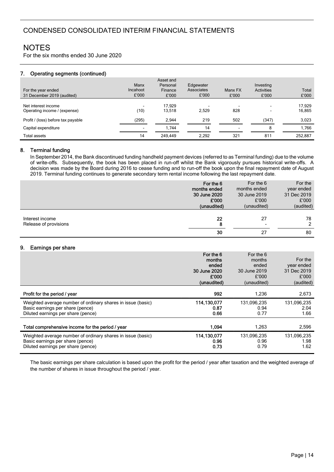For the six months ended 30 June 2020

#### 7. Operating segments (continued)

| For the year ended<br>31 December 2019 (audited)    | Manx<br>Incahoot<br>£'000 | Asset and<br>Personal<br>Finance<br>£'000 | Edgewater<br>Associates<br>£'000 | Manx FX<br>£'000 | Investing<br><b>Activities</b><br>£'000 | Total<br>£'000   |
|-----------------------------------------------------|---------------------------|-------------------------------------------|----------------------------------|------------------|-----------------------------------------|------------------|
| Net interest income<br>Operating income / (expense) | (10)                      | 17.929<br>13,518                          | 2.529                            | 828              | $\overline{\phantom{a}}$<br>-           | 17.929<br>16,865 |
| Profit / (loss) before tax payable                  | (295)                     | 2.944                                     | 219                              | 502              | (347)                                   | 3,023            |
| Capital expenditure                                 | н.                        | 1.744                                     | 14                               |                  | 8                                       | 1.766            |
| Total assets                                        | 14                        | 249.449                                   | 2.292                            | 321              | 811                                     | 252,887          |

#### 8. Terminal funding

In September 2014, the Bank discontinued funding handheld payment devices (referred to as Terminal funding) due to the volume of write-offs. Subsequently, the book has been placed in run-off whilst the Bank vigorously pursues historical write-offs. A decision was made by the Board during 2016 to cease funding and to run-off the book upon the final repayment date of August 2019. Terminal funding continues to generate secondary term rental income following the last repayment date.

|                                          | For the 6     | For the 6     | For the       |
|------------------------------------------|---------------|---------------|---------------|
|                                          | months ended  | months ended  | year ended    |
|                                          | 30 June 2020  | 30 June 2019  | 31 Dec 2019   |
|                                          | £'000         | £'000         | £'000         |
|                                          | (unaudited)   | (unaudited)   | (audited)     |
| Interest income<br>Release of provisions | 22<br>8<br>30 | 27<br>٠<br>27 | 78<br>2<br>80 |

#### 9. Earnings per share

|                                                                                                                                       | For the 6<br>months<br>ended<br>30 June 2020<br>£'000<br>(unaudited) | For the 6<br>months<br>ended<br>30 June 2019<br>£'000<br>(unaudited) | For the<br>year ended<br>31 Dec 2019<br>£'000<br>(audited) |
|---------------------------------------------------------------------------------------------------------------------------------------|----------------------------------------------------------------------|----------------------------------------------------------------------|------------------------------------------------------------|
| Profit for the period / year                                                                                                          | 992                                                                  | 1,236                                                                | 2,673                                                      |
| Weighted average number of ordinary shares in issue (basic)<br>Basic earnings per share (pence)<br>Diluted earnings per share (pence) | 114,130,077<br>0.87<br>0.66                                          | 131,096,235<br>0.94<br>0.77                                          | 131,096,235<br>2.04<br>1.66                                |
| Total comprehensive income for the period / year                                                                                      | 1.094                                                                | 1,263                                                                | 2,596                                                      |
| Weighted average number of ordinary shares in issue (basic)<br>Basic earnings per share (pence)<br>Diluted earnings per share (pence) | 114,130,077<br>0.96<br>0.73                                          | 131,096,235<br>0.96<br>0.79                                          | 131,096,235<br>1.98<br>1.62                                |

The basic earnings per share calculation is based upon the profit for the period / year after taxation and the weighted average of the number of shares in issue throughout the period / year.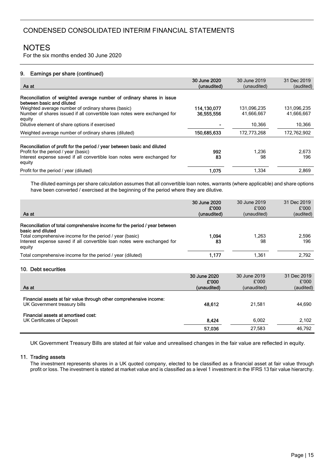For the six months ended 30 June 2020

#### 9. Earnings per share (continued)

|                                                                                                                                          | 30 June 2020              | 30 June 2019              | 31 Dec 2019               |
|------------------------------------------------------------------------------------------------------------------------------------------|---------------------------|---------------------------|---------------------------|
| As at                                                                                                                                    | (unaudited)               | (unaudited)               | (audited)                 |
| Reconciliation of weighted average number of ordinary shares in issue<br>between basic and diluted                                       |                           |                           |                           |
| Weighted average number of ordinary shares (basic)<br>Number of shares issued if all convertible loan notes were exchanged for<br>equity | 114,130,077<br>36.555.556 | 131,096,235<br>41,666,667 | 131,096,235<br>41,666,667 |
| Dilutive element of share options if exercised                                                                                           |                           | 10,366                    | 10,366                    |
| Weighted average number of ordinary shares (diluted)                                                                                     | 150,685,633               | 172,773,268               | 172,762,902               |
| Reconciliation of profit for the period / year between basic and diluted<br>Profit for the period / year (basic)                         | 992                       | 1,236                     | 2,673                     |
| Interest expense saved if all convertible loan notes were exchanged for<br>equity                                                        | 83                        | 98                        | 196                       |
| Profit for the period / year (diluted)                                                                                                   | 1.075                     | 1,334                     | 2,869                     |

The diluted earnings per share calculation assumes that all convertible loan notes, warrants (where applicable) and share options have been converted / exercised at the beginning of the period where they are dilutive.

| As at                                                                                                                                                              | 30 June 2020<br>£'000<br>(unaudited) | 30 June 2019<br>£'000<br>(unaudited) | 31 Dec 2019<br>£'000<br>(audited) |
|--------------------------------------------------------------------------------------------------------------------------------------------------------------------|--------------------------------------|--------------------------------------|-----------------------------------|
| Reconciliation of total comprehensive income for the period / year between                                                                                         |                                      |                                      |                                   |
| basic and diluted<br>Total comprehensive income for the period / year (basic)<br>Interest expense saved if all convertible loan notes were exchanged for<br>equity | 1,094<br>83                          | 1,263<br>98                          | 2,596<br>196                      |
| Total comprehensive income for the period / year (diluted)                                                                                                         | 1,177                                | 1,361                                | 2,792                             |
| 10. Debt securities                                                                                                                                                |                                      |                                      |                                   |
|                                                                                                                                                                    | 30 June 2020                         | 30 June 2019                         | 31 Dec 2019                       |
| As at                                                                                                                                                              | £'000<br>(unaudited)                 | £'000<br>(unaudited)                 | £'000<br>(audited)                |
| Financial assets at fair value through other comprehensive income:<br>UK Government treasury bills                                                                 | 48,612                               | 21,581                               | 44,690                            |
| Financial assets at amortised cost:<br>UK Certificates of Deposit                                                                                                  | 8,424                                | 6,002                                | 2,102                             |
|                                                                                                                                                                    | 57,036                               | 27,583                               | 46,792                            |

UK Government Treasury Bills are stated at fair value and unrealised changes in the fair value are reflected in equity.

#### 11. Trading assets

The investment represents shares in a UK quoted company, elected to be classified as a financial asset at fair value through profit or loss. The investment is stated at market value and is classified as a level 1 investment in the IFRS 13 fair value hierarchy.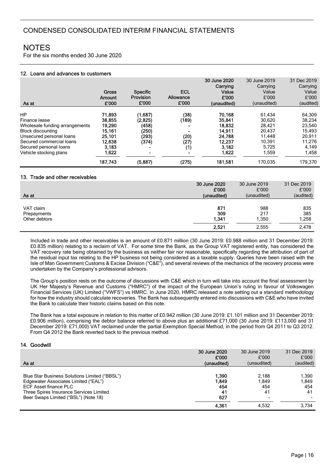For the six months ended 30 June 2020

#### 12. Loans and advances to customers

| As at                                                                                                                                                                                                | Gross<br>Amount<br>£'000                                                              | <b>Specific</b><br><b>Provision</b><br>£'000                                             | ECL<br>Allowance<br>£'000                                                              | 30 June 2020<br>Carrying<br>Value<br>£'000<br>(unaudited)                             | 30 June 2019<br>Carrying<br>Value<br>£'000<br>(unaudited)                             | 31 Dec 2019<br>Carrying<br>Value<br>£'000<br>(audited)                                |
|------------------------------------------------------------------------------------------------------------------------------------------------------------------------------------------------------|---------------------------------------------------------------------------------------|------------------------------------------------------------------------------------------|----------------------------------------------------------------------------------------|---------------------------------------------------------------------------------------|---------------------------------------------------------------------------------------|---------------------------------------------------------------------------------------|
| <b>HP</b><br>Finance lease<br>Wholesale funding arrangements<br><b>Block discounting</b><br>Unsecured personal loans<br>Secured commercial loans<br>Secured personal loans<br>Vehicle stocking plans | 71,893<br>38.855<br>19.290<br>15,161<br>25,101<br>12.638<br>3.183<br>1,622<br>187,743 | (1,687)<br>(2,825)<br>(458)<br>(250)<br>(293)<br>(374)<br>$\blacksquare$<br>۰<br>(5,887) | (38)<br>(189)<br>$\blacksquare$<br>$\blacksquare$<br>(20)<br>(27)<br>(1)<br>۰<br>(275) | 70,168<br>35.841<br>18.832<br>14.911<br>24,788<br>12.237<br>3.182<br>1,622<br>181,581 | 61.434<br>30.620<br>28,421<br>20.437<br>11.448<br>10.391<br>5.725<br>1,559<br>170.035 | 64,309<br>38.234<br>23,540<br>15,493<br>20,911<br>11.276<br>4,149<br>1,458<br>179,370 |

#### 13. Trade and other receivables

Ξ

|               | 30 June 2020 | 30 June 2019 | 31 Dec 2019 |
|---------------|--------------|--------------|-------------|
|               | £'000        | £'000        | £'000       |
| As at         | (unaudited)  | (unaudited)  | (audited)   |
| VAT claim     | 871          | 988          | 835         |
| Prepayments   | 309          | 217          | 385         |
| Other debtors | 1,341        | 1,350        | 1,258       |
|               | 2,521        | 2,555        | 2,478       |

Included in trade and other receivables is an amount of £0.871 million (30 June 2019: £0.988 million and 31 December 2019: £0.835 million) relating to a reclaim of VAT. For some time the Bank, as the Group VAT registered entity, has considered the VAT recovery rate being obtained by the business as neither fair nor reasonable, specifically regarding the attribution of part of the residual input tax relating to the HP business not being considered as a taxable supply. Queries have been raised with the Isle of Man Government Customs & Excise Division ("C&E"), and several reviews of the mechanics of the recovery process were undertaken by the Company's professional advisors.

The Group's position rests on the outcome of discussions with C&E which in turn will take into account the final assessment by UK Her Majesty's Revenue and Customs ("HMRC") of the impact of the European Union's ruling in favour of Volkswagen Financial Services (UK) Limited ("VWFS") vs HMRC. In June 2020, HMRC released a note setting out a standard methodology for how the industry should calculate recoveries. The Bank has subsequently entered into discussions with C&E who have invited the Bank to calculate their historic claims based on this note.

The Bank has a total exposure in relation to this matter of £0.942 million (30 June 2019: £1.101 million and 31 December 2019: £0.906 million), comprising the debtor balance referred to above plus an additional £71,000 (30 June 2019: £113,000 and 31 December 2019: £71,000) VAT reclaimed under the partial Exemption Special Method, in the period from Q4 2011 to Q3 2012. From Q4 2012 the Bank reverted back to the previous method.

#### 14. Goodwill

|                                               | 30 June 2020 | 30 June 2019 | 31 Dec 2019 |
|-----------------------------------------------|--------------|--------------|-------------|
|                                               | £'000        | £'000        | £'000       |
| As at                                         | (unaudited)  | (unaudited)  | (audited)   |
|                                               |              |              |             |
| Blue Star Business Solutions Limited ("BBSL") | 1.390        | 2.188        | 1.390       |
| Edgewater Associates Limited ("EAL")          | 1.849        | 1.849        | 1.849       |
| ECF Asset finance PLC                         | 454          | 454          | 454         |
| Three Spires Insurance Services Limited       | 41           | 41           | 41          |
| Beer Swaps Limited ("BSL") (Note 18)          | 627          |              |             |
|                                               | 4,361        | 4.532        | 3.734       |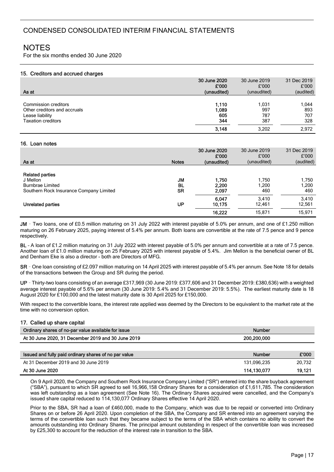For the six months ended 30 June 2020

#### 15. Creditors and accrued charges

|                             | £'000<br>(audited)                                                                             |
|-----------------------------|------------------------------------------------------------------------------------------------|
| 031. ا<br>997<br>787<br>387 | 1,044<br>893<br>707<br>328<br>2.972                                                            |
|                             | £'000<br>£'000<br>(unaudited)<br>(unaudited)<br>1,110<br>1.089<br>605<br>344<br>3.148<br>3.202 |

#### 16. Loan notes

| As at                                                                                                    | <b>Notes</b>                        | 30 June 2020<br>£'000<br>(unaudited) | 30 June 2019<br>£'000<br>(unaudited) | 31 Dec 2019<br>£'000<br>(audited) |
|----------------------------------------------------------------------------------------------------------|-------------------------------------|--------------------------------------|--------------------------------------|-----------------------------------|
| <b>Related parties</b><br>J Mellon<br><b>Burnbrae Limited</b><br>Southern Rock Insurance Company Limited | <b>JM</b><br><b>BL</b><br><b>SR</b> | 1,750<br>2,200<br>2,097              | 750.ا<br>1,200<br>460                | 1,750<br>1,200<br>460             |
| Unrelated parties                                                                                        | UP                                  | 6,047<br>10,175<br>16,222            | 3.410<br>12,461<br>15,871            | 3,410<br>12,561<br>15,971         |

JM – Two loans, one of £0.5 million maturing on 31 July 2022 with interest payable of 5.0% per annum, and one of £1.250 million maturing on 26 February 2025, paying interest of 5.4% per annum. Both loans are convertible at the rate of 7.5 pence and 9 pence respectively.

BL – A loan of £1.2 million maturing on 31 July 2022 with interest payable of 5.0% per annum and convertible at a rate of 7.5 pence. Another loan of £1.0 million maturing on 25 February 2025 with interest payable of 5.4%. Jim Mellon is the beneficial owner of BL and Denham Eke is also a director - both are Directors of MFG.

SR – One loan consisting of £2.097 million maturing on 14 April 2025 with interest payable of 5.4% per annum. See Note 18 for details of the transactions between the Group and SR during the period.

UP – Thirty-two loans consisting of an average £317,969 (30 June 2019: £377,606 and 31 December 2019: £380,636) with a weighted average interest payable of 5.6% per annum (30 June 2019: 5.4% and 31 December 2019: 5.5%). The earliest maturity date is 18 August 2020 for £100,000 and the latest maturity date is 30 April 2025 for £150,000.

With respect to the convertible loans, the interest rate applied was deemed by the Directors to be equivalent to the market rate at the time with no conversion option.

#### 17. Called up share capital

| Ordinary shares of no-par value available for issue | <b>Number</b> |  |
|-----------------------------------------------------|---------------|--|
| At 30 June 2020, 31 December 2019 and 30 June 2019  | 200,200,000   |  |

| Issued and fully paid ordinary shares of no par value | Number      | £'000  |
|-------------------------------------------------------|-------------|--------|
| At 31 December 2019 and 30 June 2019                  | 131.096.235 | 20.732 |
| At 30 June 2020                                       | 114.130.077 | 19.121 |

On 9 April 2020, the Company and Southern Rock Insurance Company Limited ("SR") entered into the share buyback agreement ("SBA"), pursuant to which SR agreed to sell 16,966,158 Ordinary Shares for a consideration of £1,611,785. The consideration was left outstanding as a loan agreement (See Note 16). The Ordinary Shares acquired were cancelled, and the Company's issued share capital reduced to 114,130,077 Ordinary Shares effective 14 April 2020.

Prior to the SBA, SR had a loan of £460,000, made to the Company, which was due to be repaid or converted into Ordinary Shares on or before 26 April 2020. Upon completion of the SBA, the Company and SR entered into an agreement varying the terms of the convertible loan such that they became subject to the terms of the SBA which contains no ability to convert the amounts outstanding into Ordinary Shares. The principal amount outstanding in respect of the convertible loan was increased by £25,300 to account for the reduction of the interest rate in transition to the SBA.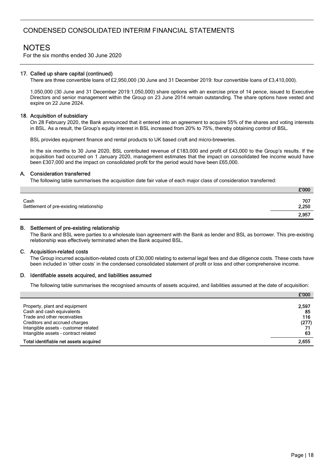# **NOTES**

For the six months ended 30 June 2020

#### 17. Called up share capital (continued)

There are three convertible loans of £2,950,000 (30 June and 31 December 2019: four convertible loans of £3,410,000).

1,050,000 (30 June and 31 December 2019:1,050,000) share options with an exercise price of 14 pence, issued to Executive Directors and senior management within the Group on 23 June 2014 remain outstanding. The share options have vested and expire on 22 June 2024.

#### 18. Acquisition of subsidiary

On 28 February 2020, the Bank announced that it entered into an agreement to acquire 55% of the shares and voting interests in BSL. As a result, the Group's equity interest in BSL increased from 20% to 75%, thereby obtaining control of BSL.

BSL provides equipment finance and rental products to UK based craft and micro-breweries.

In the six months to 30 June 2020, BSL contributed revenue of £183,000 and profit of £43,000 to the Group's results. If the acquisition had occurred on 1 January 2020, management estimates that the impact on consolidated fee income would have been £307,000 and the impact on consolidated profit for the period would have been £65,000.

#### A. Consideration transferred

The following table summarises the acquisition date fair value of each major class of consideration transferred:

|                                                 | £'000        |
|-------------------------------------------------|--------------|
| Cash<br>Settlement of pre-existing relationship | 707<br>2,250 |
|                                                 | 2,957        |

#### B. Settlement of pre-existing relationship

The Bank and BSL were parties to a wholesale loan agreement with the Bank as lender and BSL as borrower. This pre-existing relationship was effectively terminated when the Bank acquired BSL.

#### C. Acquisition-related costs

The Group incurred acquisition-related costs of £30,000 relating to external legal fees and due diligence costs. These costs have been included in 'other costs' in the condensed consolidated statement of profit or loss and other comprehensive income.

#### D. Identifiable assets acquired, and liabilities assumed

The following table summarises the recognised amounts of assets acquired, and liabilities assumed at the date of acquisition:

|                                                                              | £'000        |
|------------------------------------------------------------------------------|--------------|
| Property, plant and equipment<br>Cash and cash equivalents                   | 2,597<br>85  |
| Trade and other receivables<br>Creditors and accrued charges                 | 116<br>(277) |
| Intangible assets - customer related<br>Intangible assets - contract related | 63           |
| Total identifiable net assets acquired                                       | 2,655        |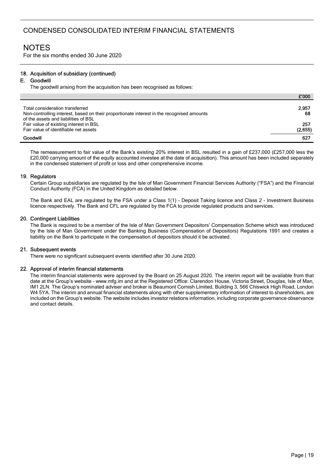For the six months ended 30 June 2020

#### 18. Acquisition of subsidiary (continued)

#### E. Goodwill

The goodwill arising from the acquisition has been recognised as follows:

|                                                                                                                                                                      | £'000          |
|----------------------------------------------------------------------------------------------------------------------------------------------------------------------|----------------|
| Total consideration transferred<br>Non-controlling interest, based on their proportionate interest in the recognised amounts<br>of the assets and liabilities of BSL | 2,957<br>68    |
| Fair value of existing interest in BSL<br>Fair value of identifiable net assets                                                                                      | 257<br>(2,655) |
| Goodwill                                                                                                                                                             | 627            |

The remeasurement to fair value of the Bank's existing 20% interest in BSL resulted in a gain of £237,000 (£257,000 less the £20,000 carrying amount of the equity accounted investee at the date of acquisition). This amount has been included separately in the condensed statement of profit or loss and other comprehensive income.

#### 19. Regulators

Certain Group subsidiaries are regulated by the Isle of Man Government Financial Services Authority ("FSA") and the Financial Conduct Authority (FCA) in the United Kingdom as detailed below.

The Bank and EAL are regulated by the FSA under a Class 1(1) - Deposit Taking licence and Class 2 - Investment Business licence respectively. The Bank and CFL are regulated by the FCA to provide regulated products and services.

#### 20. Contingent Liabilities

The Bank is required to be a member of the Isle of Man Government Depositors' Compensation Scheme which was introduced by the Isle of Man Government under the Banking Business (Compensation of Depositors) Regulations 1991 and creates a liability on the Bank to participate in the compensation of depositors should it be activated.

#### 21. Subsequent events

There were no significant subsequent events identified after 30 June 2020.

#### 22. Approval of interim financial statements

The interim financial statements were approved by the Board on 25 August 2020. The interim report will be available from that date at the Group's website – www.mfg.im and at the Registered Office: Clarendon House, Victoria Street, Douglas, Isle of Man, IM1 2LN. The Group's nominated adviser and broker is Beaumont Cornish Limited, Building 3, 566 Chiswick High Road, London W4 5YA. The interim and annual financial statements along with other supplementary information of interest to shareholders, are included on the Group's website. The website includes investor relations information, including corporate governance observance and contact details.